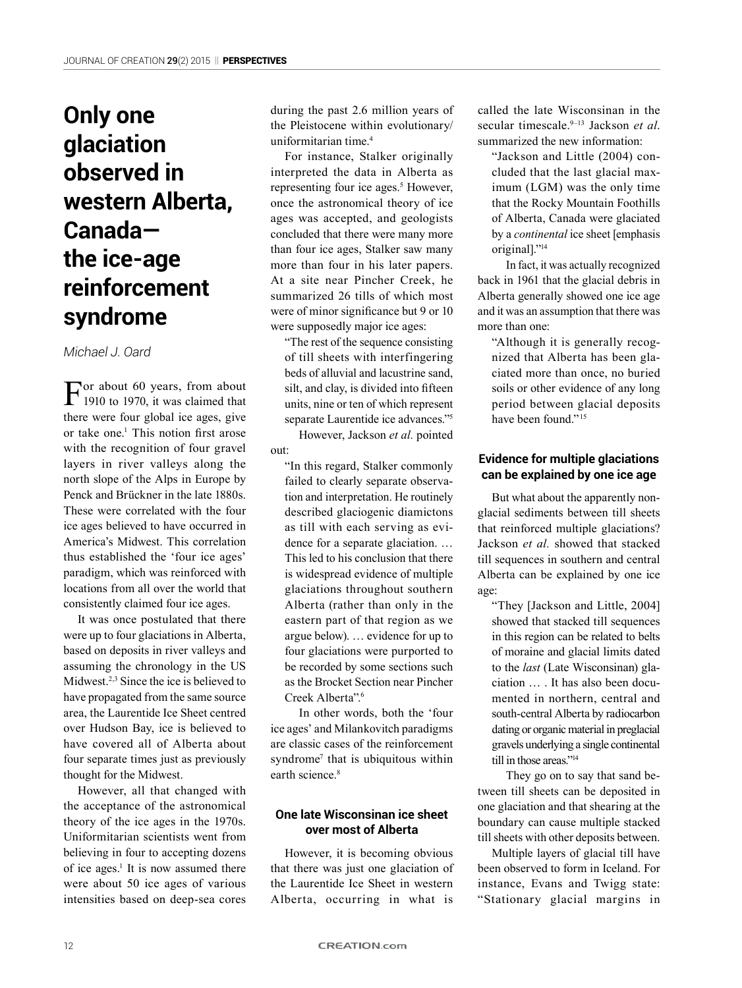# **Only one glaciation observed in western Alberta, Canada the ice-age reinforcement syndrome**

### *Michael J. Oard*

For about 60 years, from about<br>1910 to 1970, it was claimed that there were four global ice ages, give or take one.<sup>1</sup> This notion first arose with the recognition of four gravel layers in river valleys along the north slope of the Alps in Europe by Penck and Brückner in the late 1880s. These were correlated with the four ice ages believed to have occurred in America's Midwest. This correlation thus established the 'four ice ages' paradigm, which was reinforced with locations from all over the world that consistently claimed four ice ages.

It was once postulated that there were up to four glaciations in Alberta, based on deposits in river valleys and assuming the chronology in the US Midwest.2,3 Since the ice is believed to have propagated from the same source area, the Laurentide Ice Sheet centred over Hudson Bay, ice is believed to have covered all of Alberta about four separate times just as previously thought for the Midwest.

However, all that changed with the acceptance of the astronomical theory of the ice ages in the 1970s. Uniformitarian scientists went from believing in four to accepting dozens of ice ages.<sup>1</sup> It is now assumed there were about 50 ice ages of various intensities based on deep-sea cores

during the past 2.6 million years of the Pleistocene within evolutionary/ uniformitarian time.4

For instance, Stalker originally interpreted the data in Alberta as representing four ice ages.<sup>5</sup> However, once the astronomical theory of ice ages was accepted, and geologists concluded that there were many more than four ice ages, Stalker saw many more than four in his later papers. At a site near Pincher Creek, he summarized 26 tills of which most were of minor significance but 9 or 10 were supposedly major ice ages:

"The rest of the sequence consisting of till sheets with interfingering beds of alluvial and lacustrine sand, silt, and clay, is divided into fifteen units, nine or ten of which represent separate Laurentide ice advances."5

However, Jackson *et al.* pointed out:

"In this regard, Stalker commonly failed to clearly separate observation and interpretation. He routinely described glaciogenic diamictons as till with each serving as evidence for a separate glaciation. … This led to his conclusion that there is widespread evidence of multiple glaciations throughout southern Alberta (rather than only in the eastern part of that region as we argue below). … evidence for up to four glaciations were purported to be recorded by some sections such as the Brocket Section near Pincher Creek Alberta".6

In other words, both the 'four ice ages' and Milankovitch paradigms are classic cases of the reinforcement syndrome<sup>7</sup> that is ubiquitous within earth science<sup>8</sup>

### **One late Wisconsinan ice sheet over most of Alberta**

However, it is becoming obvious that there was just one glaciation of the Laurentide Ice Sheet in western Alberta, occurring in what is

called the late Wisconsinan in the secular timescale.9–13 Jackson *et al*. summarized the new information:

"Jackson and Little (2004) concluded that the last glacial maximum (LGM) was the only time that the Rocky Mountain Foothills of Alberta, Canada were glaciated by a *continental* ice sheet [emphasis original]."14

In fact, it was actually recognized back in 1961 that the glacial debris in Alberta generally showed one ice age and it was an assumption that there was more than one:

"Although it is generally recognized that Alberta has been glaciated more than once, no buried soils or other evidence of any long period between glacial deposits have been found<sup>"15</sup>

## **Evidence for multiple glaciations can be explained by one ice age**

But what about the apparently nonglacial sediments between till sheets that reinforced multiple glaciations? Jackson *et al.* showed that stacked till sequences in southern and central Alberta can be explained by one ice age:

"They [Jackson and Little, 2004] showed that stacked till sequences in this region can be related to belts of moraine and glacial limits dated to the *last* (Late Wisconsinan) glaciation … . It has also been documented in northern, central and south-central Alberta by radiocarbon dating or organic material in preglacial gravels underlying a single continental till in those areas."<sup>14</sup>

They go on to say that sand between till sheets can be deposited in one glaciation and that shearing at the boundary can cause multiple stacked till sheets with other deposits between.

Multiple layers of glacial till have been observed to form in Iceland. For instance, Evans and Twigg state: "Stationary glacial margins in